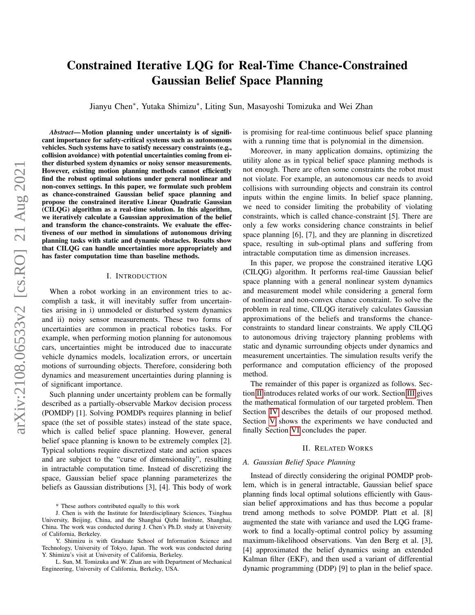# Constrained Iterative LQG for Real-Time Chance-Constrained Gaussian Belief Space Planning

Jianyu Chen<sup>∗</sup>, Yutaka Shimizu<sup>∗</sup>, Liting Sun, Masayoshi Tomizuka and Wei Zhan

*Abstract*— Motion planning under uncertainty is of significant importance for safety-critical systems such as autonomous vehicles. Such systems have to satisfy necessary constraints (e.g., collision avoidance) with potential uncertainties coming from either disturbed system dynamics or noisy sensor measurements. However, existing motion planning methods cannot efficiently find the robust optimal solutions under general nonlinear and non-convex settings. In this paper, we formulate such problem as chance-constrained Gaussian belief space planning and propose the constrained iterative Linear Quadratic Gaussian (CILQG) algorithm as a real-time solution. In this algorithm, we iteratively calculate a Gaussian approximation of the belief and transform the chance-constraints. We evaluate the effectiveness of our method in simulations of autonomous driving planning tasks with static and dynamic obstacles. Results show that CILQG can handle uncertainties more appropriately and has faster computation time than baseline methods.

#### I. INTRODUCTION

When a robot working in an environment tries to accomplish a task, it will inevitably suffer from uncertainties arising in i) unmodeled or disturbed system dynamics and ii) noisy sensor measurements. These two forms of uncertainties are common in practical robotics tasks. For example, when performing motion planning for autonomous cars, uncertainties might be introduced due to inaccurate vehicle dynamics models, localization errors, or uncertain motions of surrounding objects. Therefore, considering both dynamics and measurement uncertainties during planning is of significant importance.

Such planning under uncertainty problem can be formally described as a partially-observable Markov decision process (POMDP) [1]. Solving POMDPs requires planning in belief space (the set of possible states) instead of the state space, which is called belief space planning. However, general belief space planning is known to be extremely complex [2]. Typical solutions require discretized state and action spaces and are subject to the "curse of dimensionality", resulting in intractable computation time. Instead of discretizing the space, Gaussian belief space planning parameterizes the beliefs as Gaussian distributions [3], [4]. This body of work is promising for real-time continuous belief space planning with a running time that is polynomial in the dimension.

Moreover, in many application domains, optimizing the utility alone as in typical belief space planning methods is not enough. There are often some constraints the robot must not violate. For example, an autonomous car needs to avoid collisions with surrounding objects and constrain its control inputs within the engine limits. In belief space planning, we need to consider limiting the probability of violating constraints, which is called chance-constraint [5]. There are only a few works considering chance constraints in belief space planning [6], [7], and they are planning in discretized space, resulting in sub-optimal plans and suffering from intractable computation time as dimension increases.

In this paper, we propose the constrained iterative LQG (CILQG) algorithm. It performs real-time Gaussian belief space planning with a general nonlinear system dynamics and measurement model while considering a general form of nonlinear and non-convex chance constraint. To solve the problem in real time, CILQG iteratively calculates Gaussian approximations of the beliefs and transforms the chanceconstraints to standard linear constraints. We apply CILQG to autonomous driving trajectory planning problems with static and dynamic surrounding objects under dynamics and measurement uncertainties. The simulation results verify the performance and computation efficiency of the proposed method.

The remainder of this paper is organized as follows. Section [II](#page-0-0) introduces related works of our work. Section [III](#page-1-0) gives the mathematical formulation of our targeted problem. Then Section [IV](#page-1-1) describes the details of our proposed method. Section [V](#page-4-0) shows the experiments we have conducted and finally Section [VI](#page-6-0) concludes the paper.

### II. RELATED WORKS

### <span id="page-0-0"></span>*A. Gaussian Belief Space Planning*

Instead of directly considering the original POMDP problem, which is in general intractable, Gaussian belief space planning finds local optimal solutions efficiently with Gaussian belief approximations and has thus become a popular trend among methods to solve POMDP. Platt et al. [8] augmented the state with variance and used the LQG framework to find a locally-optimal control policy by assuming maximum-likelihood observations. Van den Berg et al. [3], [4] approximated the belief dynamics using an extended Kalman filter (EKF), and then used a variant of differential dynamic programming (DDP) [9] to plan in the belief space.

<sup>\*</sup> These authors contributed equally to this work

J. Chen is with the Institute for Interdisciplinary Sciences, Tsinghua University, Beijing, China, and the Shanghai Qizhi Institute, Shanghai, China. The work was conducted during J. Chen's Ph.D. study at University of California, Berkeley.

Y. Shimizu is with Graduate School of Information Science and Technology, University of Tokyo, Japan. The work was conducted during Y. Shimizu's visit at University of California, Berkeley.

L. Sun, M. Tomizuka and W. Zhan are with Department of Mechanical Engineering, University of California, Berkeley, USA.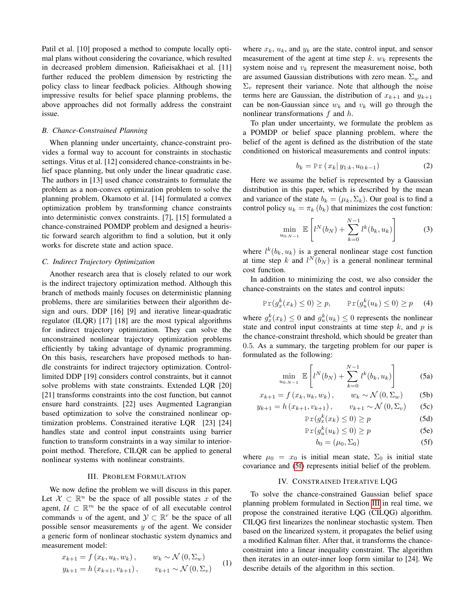Patil et al. [10] proposed a method to compute locally optimal plans without considering the covariance, which resulted in decreased problem dimension. Rafieisakhaei et al. [11] further reduced the problem dimension by restricting the policy class to linear feedback policies. Although showing impressive results for belief space planning problems, the above approaches did not formally address the constraint issue.

### *B. Chance-Constrained Planning*

When planning under uncertainty, chance-constraint provides a formal way to account for constraints in stochastic settings. Vitus et al. [12] considered chance-constraints in belief space planning, but only under the linear quadratic case. The authors in [13] used chance constraints to formulate the problem as a non-convex optimization problem to solve the planning problem. Okamoto et al. [14] formulated a convex optimization problem by transforming chance constraints into deterministic convex constraints. [7], [15] formulated a chance-constrained POMDP problem and designed a heuristic forward search algorithm to find a solution, but it only works for discrete state and action space.

#### *C. Indirect Trajectory Optimization*

Another research area that is closely related to our work is the indirect trajectory optimization method. Although this branch of methods mainly focuses on deterministic planning problems, there are similarities between their algorithm design and ours. DDP [16] [9] and iterative linear-quadratic regulator (ILQR) [17] [18] are the most typical algorithms for indirect trajectory optimization. They can solve the unconstrained nonlinear trajectory optimization problems efficiently by taking advantage of dynamic programming. On this basis, researchers have proposed methods to handle constraints for indirect trajectory optimization. Controllimited DDP [19] considers control constraints, but it cannot solve problems with state constraints. Extended LOR [20] [21] transforms constraints into the cost function, but cannot ensure hard constraints. [22] uses Augmented Lagrangian based optimization to solve the constrained nonlinear optimization problems. Constrained iterative LQR [23] [24] handles state and control input constraints using barrier function to transform constraints in a way similar to interiorpoint method. Therefore, CILQR can be applied to general nonlinear systems with nonlinear constraints.

# III. PROBLEM FORMULATION

<span id="page-1-0"></span>We now define the problem we will discuss in this paper. Let  $\mathcal{X} \subset \mathbb{R}^n$  be the space of all possible states x of the agent,  $U \subset \mathbb{R}^m$  be the space of of all executable control commands u of the agent, and  $\mathcal{Y} \subset \mathbb{R}^r$  be the space of all possible sensor measurements  $y$  of the agent. We consider a generic form of nonlinear stochastic system dynamics and measurement model:

$$
x_{k+1} = f(x_k, u_k, w_k), \t w_k \sim \mathcal{N}(0, \Sigma_w)
$$
  

$$
y_{k+1} = h(x_{k+1}, v_{k+1}), \t v_{k+1} \sim \mathcal{N}(0, \Sigma_v)
$$
 (1)

where  $x_k$ ,  $u_k$ , and  $y_k$  are the state, control input, and sensor measurement of the agent at time step k.  $w_k$  represents the system noise and  $v_k$  represent the measurement noise, both are assumed Gaussian distributions with zero mean.  $\Sigma_w$  and  $\Sigma_v$  represent their variance. Note that although the noise terms here are Gaussian, the distribution of  $x_{k+1}$  and  $y_{k+1}$ can be non-Gaussian since  $w_k$  and  $v_k$  will go through the nonlinear transformations f and h.

To plan under uncertainty, we formulate the problem as a POMDP or belief space planning problem, where the belief of the agent is defined as the distribution of the state conditioned on historical measurements and control inputs:

$$
b_k = \Pr(x_k | y_{1:k}, u_{0:k-1})
$$
 (2)

Here we assume the belief is represented by a Gaussian distribution in this paper, which is described by the mean and variance of the state  $b_k = (\mu_k, \Sigma_k)$ . Our goal is to find a control policy  $u_k = \pi_k (b_k)$  that minimizes the cost function:

$$
\min_{u_{0:N-1}} \mathbb{E}\left[l^N(b_N) + \sum_{k=0}^{N-1} l^k(b_k, u_k)\right]
$$
 (3)

where  $l^k(b_k, u_k)$  is a general nonlinear stage cost function at time step k and  $l^N(b_N)$  is a general nonlinear terminal cost function.

In addition to minimizing the cost, we also consider the chance-constraints on the states and control inputs:

$$
\Pr(g_x^k(x_k) \le 0) \ge p, \qquad \Pr(g_u^k(u_k) \le 0) \ge p \qquad (4)
$$

where  $g_x^k(x_k) \leq 0$  and  $g_y^k(u_k) \leq 0$  represents the nonlinear state and control input constraints at time step  $k$ , and  $p$  is the chance-constraint threshold, which should be greater than 0.5. As a summary, the targeting problem for our paper is formulated as the following:

$$
\min_{u_{0:N-1}} \mathbb{E}\left[l^N(b_N) + \sum_{k=0}^{N-1} l^k(b_k, u_k)\right]
$$
 (5a)

$$
x_{k+1} = f(x_k, u_k, w_k), \qquad w_k \sim \mathcal{N}(0, \Sigma_w) \tag{5b}
$$

$$
y_{k+1} = h(x_{k+1}, v_{k+1}), \qquad v_{k+1} \sim \mathcal{N}(0, \Sigma_v)
$$
 (5c)

$$
\Pr(g_x^k(x_k) \le 0) \ge p \tag{5d}
$$

$$
\Pr(g_u^k(u_k) \le 0) \ge p \tag{5e}
$$

<span id="page-1-7"></span><span id="page-1-6"></span><span id="page-1-5"></span><span id="page-1-4"></span><span id="page-1-3"></span><span id="page-1-2"></span>
$$
b_0 = (\mu_0, \Sigma_0) \tag{5f}
$$

where  $\mu_0 = x_0$  is initial mean state,  $\Sigma_0$  is initial state covariance and [\(5f\)](#page-1-2) represents initial belief of the problem.

### IV. CONSTRAINED ITERATIVE LQG

<span id="page-1-1"></span>To solve the chance-constrained Gaussian belief space planning problem formulated in Section [III](#page-1-0) in real time, we propose the constrained iterative LQG (CILQG) algorithm. CILQG first linearizes the nonlinear stochastic system. Then based on the linearized system, it propagates the belief using a modified Kalman filter. After that, it transforms the chanceconstraint into a linear inequality constraint. The algorithm then iterates in an outer-inner loop form similar to [24]. We describe details of the algorithm in this section.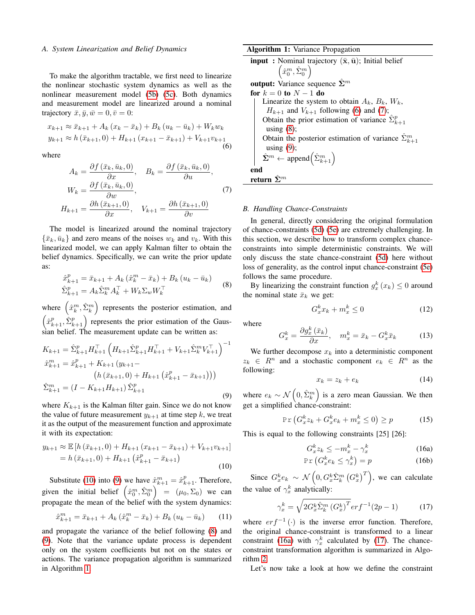### <span id="page-2-11"></span>*A. System Linearization and Belief Dynamics*

To make the algorithm tractable, we first need to linearize the nonlinear stochastic system dynamics as well as the nonlinear measurement model [\(5b\)](#page-1-3) [\(5c\)](#page-1-4). Both dynamics and measurement model are linearized around a nominal trajectory  $\bar{x}, \bar{y}, \bar{w} = 0, \bar{v} = 0$ :

<span id="page-2-4"></span>
$$
x_{k+1} \approx \bar{x}_{k+1} + A_k (x_k - \bar{x}_k) + B_k (u_k - \bar{u}_k) + W_k w_k
$$
  

$$
y_{k+1} \approx h (\bar{x}_{k+1}, 0) + H_{k+1} (x_{k+1} - \bar{x}_{k+1}) + V_{k+1} v_{k+1}
$$
  
(6)

where

<span id="page-2-5"></span>
$$
A_{k} = \frac{\partial f(\bar{x}_{k}, \bar{u}_{k}, 0)}{\partial x}, \quad B_{k} = \frac{\partial f(\bar{x}_{k}, \bar{u}_{k}, 0)}{\partial u},
$$

$$
W_{k} = \frac{\partial f(\bar{x}_{k}, \bar{u}_{k}, 0)}{\partial w},
$$

$$
H_{k+1} = \frac{\partial h(\bar{x}_{k+1}, 0)}{\partial x}, \quad V_{k+1} = \frac{\partial h(\bar{x}_{k+1}, 0)}{\partial v}
$$
(7)

The model is linearized around the nominal trajectory  $\{\bar{x}_k, \bar{u}_k\}$  and zero means of the noises  $w_k$  and  $v_k$ . With this linearized model, we can apply Kalman filter to obtain the belief dynamics. Specifically, we can write the prior update as:

<span id="page-2-2"></span>
$$
\hat{x}_{k+1}^{p} = \bar{x}_{k+1} + A_k (\hat{x}_k^{m} - \bar{x}_k) + B_k (u_k - \bar{u}_k)
$$
  

$$
\hat{\Sigma}_{k+1}^{p} = A_k \hat{\Sigma}_k^{m} A_k^{\top} + W_k \Sigma_w W_k^{\top}
$$
 (8)

where  $(\hat{x}_k^m, \hat{\Sigma}_k^m)$  represents the posterior estimation, and  $\left(\hat{x}_{k+1}^p, \hat{\Sigma}_{k+1}^p\right)$  represents the prior estimation of the Gaussian belief. The measurement update can be written as:

<span id="page-2-1"></span>
$$
K_{k+1} = \hat{\Sigma}_{k+1}^{p} H_{k+1}^{\top} \left( H_{k+1} \hat{\Sigma}_{k+1}^{p} H_{k+1}^{\top} + V_{k+1} \hat{\Sigma}_{k}^{m} V_{k+1}^{\top} \right)^{-1}
$$
  
\n
$$
\hat{x}_{k+1}^{m} = \hat{x}_{k+1}^{p} + K_{k+1} (y_{k+1} - (h(\bar{x}_{k+1}, 0) + H_{k+1} (\hat{x}_{k+1}^{p} - \bar{x}_{k+1})))
$$
  
\n
$$
\hat{\Sigma}_{k+1}^{m} = (I - K_{k+1} H_{k+1}) \hat{\Sigma}_{k+1}^{p}
$$
\n(9)

where  $K_{k+1}$  is the Kalman filter gain. Since we do not know the value of future measurement  $y_{k+1}$  at time step k, we treat it as the output of the measurement function and approximate it with its expectation:

<span id="page-2-0"></span>
$$
y_{k+1} \approx \mathbb{E}\left[h\left(\bar{x}_{k+1},0\right) + H_{k+1}\left(x_{k+1} - \bar{x}_{k+1}\right) + V_{k+1}v_{k+1}\right] = h\left(\bar{x}_{k+1},0\right) + H_{k+1}\left(\hat{x}_{k+1}^p - \bar{x}_{k+1}\right)
$$
(10)

Substitute [\(10\)](#page-2-0) into [\(9\)](#page-2-1) we have  $\hat{x}_{k+1}^m = \hat{x}_{k+1}^p$ . Therefore, given the initial belief  $(\hat{x}_0^m, \hat{\Sigma}_0^m) = (\mu_0, \Sigma_0)$  we can propagate the mean of the belief with the system dynamics:

$$
\hat{x}_{k+1}^m = \bar{x}_{k+1} + A_k \left( \hat{x}_k^m - \bar{x}_k \right) + B_k \left( u_k - \bar{u}_k \right) \tag{11}
$$

and propagate the variance of the belief following [\(8\)](#page-2-2) and [\(9\)](#page-2-1). Note that the variance update process is dependent only on the system coefficients but not on the states or actions. The variance propagation algorithm is summarized in Algorithm [1.](#page-2-3)

Algorithm 1: Variance Propagation **input**: Nominal trajectory  $(\bar{\mathbf{x}}, \bar{\mathbf{u}})$ ; Initial belief  $\left(\hat{x}_0^m, \hat{\Sigma}_0^m\right)$ output: Variance sequence  $\hat{\Sigma}^m$ for  $k = 0$  to  $N - 1$  do Linearize the system to obtain  $A_k$ ,  $B_k$ ,  $W_k$ ,  $H_{k+1}$  and  $V_{k+1}$  following [\(6\)](#page-2-4) and [\(7\)](#page-2-5); Obtain the prior estimation of variance  $\hat{\Sigma}_{k+1}^p$ using  $(8)$ ; Obtain the posterior estimation of variance  $\hat{\Sigma}_{k+1}^m$ using  $(9)$ ;  $\hat{\Sigma}^m \leftarrow \text{append}(\hat{\Sigma}_{k+1}^m)$ end return  $\hat{\Sigma}^m$ 

### <span id="page-2-3"></span>*B. Handling Chance-Constraints*

In general, directly considering the original formulation of chance-constraints [\(5d\)](#page-1-5) [\(5e\)](#page-1-6) are extremely challenging. In this section, we describe how to transform complex chanceconstraints into simple deterministic constraints. We will only discuss the state chance-constraint [\(5d\)](#page-1-5) here without loss of generality, as the control input chance-constraint [\(5e\)](#page-1-6) follows the same procedure.

By linearizing the constraint function  $g_x^k(x_k) \leq 0$  around the nominal state  $\bar{x}_k$  we get:

<span id="page-2-8"></span>
$$
G_x^k x_k + m_x^k \le 0 \tag{12}
$$

where

<span id="page-2-9"></span>
$$
G_x^k = \frac{\partial g_x^k(\bar{x}_k)}{\partial x}, \quad m_x^k = \bar{x}_k - G_x^k \bar{x}_k \tag{13}
$$

We further decompose  $x_k$  into a deterministic component  $z_k \in R^n$  and a stochastic component  $e_k \in R^n$  as the following:

<span id="page-2-10"></span>
$$
x_k = z_k + e_k \tag{14}
$$

where  $e_k \sim \mathcal{N}\left(0, \hat{\Sigma}_k^m\right)$  is a zero mean Gaussian. We then get a simplified chance-constraint:

$$
\Pr\left(G_x^k z_k + G_x^k e_k + m_x^k \le 0\right) \ge p \tag{15}
$$

This is equal to the following constraints [25] [26]:

<span id="page-2-6"></span>
$$
G_x^k z_k \le -m_x^k - \gamma_x^k \tag{16a}
$$

$$
\Pr\left(G_x^k e_k \le \gamma_x^k\right) = p \tag{16b}
$$

Since  $G_x^k e_k \sim \mathcal{N}\left(0, G_x^k \hat{\Sigma}_k^m \left(G_x^k\right)^T\right)$ , we can calculate the value of  $\gamma_x^k$  analytically:

<span id="page-2-7"></span>
$$
\gamma_x^k = \sqrt{2G_x^k \hat{\Sigma}_k^m (G_x^k)^T} erf^{-1}(2p - 1)
$$
 (17)

where  $er f^{-1}(\cdot)$  is the inverse error function. Therefore, the original chance-constraint is transformed to a linear constraint [\(16a\)](#page-2-6) with  $\gamma_x^k$  calculated by [\(17\)](#page-2-7). The chanceconstraint transformation algorithm is summarized in Algorithm [2.](#page-3-0)

Let's now take a look at how we define the constraint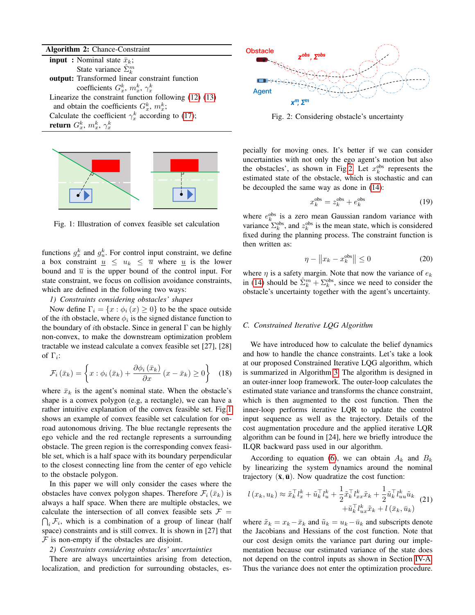Algorithm 2: Chance-Constraint **input** : Nominal state  $\bar{x}_k$ ; State variance  $\hat{\Sigma}_k^m$ output: Transformed linear constraint function coefficients  $G_x^k$ ,  $m_x^k$ ,  $\gamma_x^k$ Linearize the constraint function following [\(12\)](#page-2-8) [\(13\)](#page-2-9) and obtain the coefficients  $G_x^k$ ,  $m_x^k$ ; Calculate the coefficient  $\gamma_x^k$  according to [\(17\)](#page-2-7); return  $G_x^k,\,m_x^k,\,\gamma_x^k$ 

<span id="page-3-1"></span><span id="page-3-0"></span>

Fig. 1: Illustration of convex feasible set calculation

functions  $g_x^k$  and  $g_y^k$ . For control input constraint, we define a box constraint  $\underline{u} \leq u_k \leq \overline{u}$  where  $\underline{u}$  is the lower bound and  $\overline{u}$  is the upper bound of the control input. For state constraint, we focus on collision avoidance constraints, which are defined in the following two ways:

# <span id="page-3-4"></span>*1) Constraints considering obstacles' shapes*

Now define  $\Gamma_i = \{x : \phi_i(x) \geq 0\}$  to be the space outside of the *i*th obstacle, where  $\phi_i$  is the signed distance function to the boundary of *i*th obstacle. Since in general  $\Gamma$  can be highly non-convex, to make the downstream optimization problem tractable we instead calculate a convex feasible set [27], [28] of  $\Gamma_i$ :

$$
\mathcal{F}_{i}\left(\bar{x}_{k}\right) = \left\{x:\phi_{i}\left(\bar{x}_{k}\right) + \frac{\partial\phi_{i}\left(\bar{x}_{k}\right)}{\partial x}\left(x - \bar{x}_{k}\right) \geq 0\right\} \quad (18)
$$

where  $\bar{x}_k$  is the agent's nominal state. When the obstacle's shape is a convex polygon (e.g, a rectangle), we can have a rather intuitive explanation of the convex feasible set. Fig[.1](#page-3-1) shows an example of convex feasible set calculation for onroad autonomous driving. The blue rectangle represents the ego vehicle and the red rectangle represents a surrounding obstacle. The green region is the corresponding convex feasible set, which is a half space with its boundary perpendicular to the closest connecting line from the center of ego vehicle to the obstacle polygon.

In this paper we will only consider the cases where the obstacles have convex polygon shapes. Therefore  $\mathcal{F}_i(\bar{x}_k)$  is always a half space. When there are multiple obstacles, we calculate the intersection of all convex feasible sets  $\mathcal{F}$  =  $\bigcap_i \mathcal{F}_i$ , which is a combination of a group of linear (half space) constraints and is still convex. It is shown in [27] that  $F$  is non-empty if the obstacles are disjoint.

### <span id="page-3-5"></span>*2) Constraints considering obstacles' uncertainties*

There are always uncertainties arising from detection, localization, and prediction for surrounding obstacles, es-

<span id="page-3-2"></span>

Fig. 2: Considering obstacle's uncertainty

pecially for moving ones. It's better if we can consider uncertainties with not only the ego agent's motion but also the obstacles', as shown in Fig[.2.](#page-3-2) Let  $x_k^{\text{obs}}$  represents the estimated state of the obstacle, which is stochastic and can be decoupled the same way as done in [\(14\)](#page-2-10):

$$
x_k^{\text{obs}} = z_k^{\text{obs}} + e_k^{\text{obs}} \tag{19}
$$

where  $e_k^{\text{obs}}$  is a zero mean Gaussian random variance with variance  $\Sigma_k^{\text{obs}}$ , and  $z_k^{\text{obs}}$  is the mean state, which is considered fixed during the planning process. The constraint function is then written as:

$$
\eta - \|x_k - x_k^{\text{obs}}\| \le 0 \tag{20}
$$

where  $\eta$  is a safety margin. Note that now the variance of  $e_k$ in [\(14\)](#page-2-10) should be  $\hat{\Sigma}_k^m + \Sigma_k^{\text{obs}}$ , since we need to consider the obstacle's uncertainty together with the agent's uncertainty.

### <span id="page-3-3"></span>*C. Constrained Iterative LQG Algorithm*

We have introduced how to calculate the belief dynamics and how to handle the chance constraints. Let's take a look at our proposed Constrained Iterative LQG algorithm, which is summarized in Algorithm [3.](#page-4-1) The algorithm is designed in an outer-inner loop framework. The outer-loop calculates the estimated state variance and transforms the chance constraint, which is then augmented to the cost function. Then the inner-loop performs iterative LQR to update the control input sequence as well as the trajectory. Details of the cost augmentation procedure and the applied iterative LQR algorithm can be found in [24], here we briefly introduce the ILQR backward pass used in our algorithm.

According to equation [\(6\)](#page-2-4), we can obtain  $A_k$  and  $B_k$ by linearizing the system dynamics around the nominal trajectory  $(\bar{\mathbf{x}}, \bar{\mathbf{u}})$ . Now quadratize the cost function:

$$
l(x_k, u_k) \approx \tilde{x}_k^\top l_x^k + \tilde{u}_k^\top l_u^k + \frac{1}{2} \tilde{x}_k^\top l_{xx}^k \tilde{x}_k + \frac{1}{2} \tilde{u}_k^\top l_{uu}^k \tilde{u}_k
$$
  
 
$$
+ \tilde{u}_k^\top l_{ux}^k \tilde{x}_k + l(\bar{x}_k, \bar{u}_k)
$$
 (21)

where  $\tilde{x}_k = x_k - \bar{x}_k$  and  $\tilde{u}_k = u_k - \bar{u}_k$  and subscripts denote the Jacobians and Hessians of the cost function. Note that our cost design omits the variance part during our implementation because our estimated variance of the state does not depend on the control inputs as shown in Section [IV-A.](#page-2-11) Thus the variance does not enter the optimization procedure.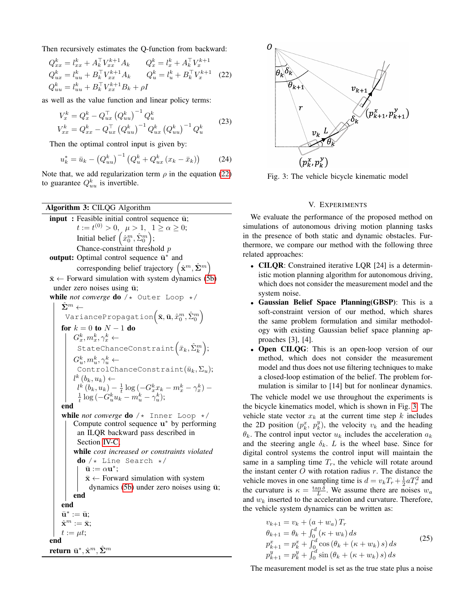Then recursively estimates the Q-function from backward:

<span id="page-4-2"></span>
$$
Q_{xx}^k = l_{xx}^k + A_k^\top V_{xx}^{k+1} A_k \t Q_x^k = l_x^k + A_k^\top V_x^{k+1}
$$
  
\n
$$
Q_{ux}^k = l_{uu}^k + B_k^\top V_{xx}^{k+1} A_k \t Q_u^k = l_u^k + B_k^\top V_x^{k+1}
$$
 (22)  
\n
$$
Q_{uu}^k = l_{uu}^k + B_k^\top V_{xx}^{k+1} B_k + \rho I
$$

as well as the value function and linear policy terms:

$$
V_x^k = Q_x^k - Q_{ux}^\top (Q_{uu}^k)^{-1} Q_u^k
$$
  
\n
$$
V_{xx}^k = Q_{xx}^k - Q_{ux}^\top (Q_{uu}^k)^{-1} Q_{ux}^k (Q_{uu}^k)^{-1} Q_u^k
$$
\n(23)

Then the optimal control input is given by:

$$
u_k^* = \bar{u}_k - (Q_{uu}^k)^{-1} (Q_u^k + Q_{ux}^k (x_k - \bar{x}_k))
$$
 (24)

Note that, we add regularization term  $\rho$  in the equation [\(22\)](#page-4-2) to guarantee  $Q_{uu}^k$  is invertible.

Algorithm 3: CILQG Algorithm  $input: Feasible initial control sequence  $\bar{u}$ ;$  $t := t^{(0)} > 0, \ \mu > 1, \ 1 \ge \alpha \ge 0;$ Initial belief  $(\hat{x}_0^m, \hat{\Sigma}_0^m);$ Chance-constraint threshold p output: Optimal control sequence  $\bar{u}^*$  and corresponding belief trajectory  $(\hat{\mathbf{x}}^m, \hat{\mathbf{\Sigma}}^m)$  $\bar{x} \leftarrow$  Forward simulation with system dynamics [\(5b\)](#page-1-3) under zero noises using  $\bar{u}$ ; while *not converge* **do** /\* Outer Loop \*/  $\hat{\mathbf{\Sigma}}^m \leftarrow$ VariancePropagation $\left(\bar{\mathbf{x}},\bar{\mathbf{u}},\hat{x}_{0}^{m},\hat{\Sigma}_{0}^{m}\right)$ for  $k = 0$  to  $N - 1$  do  $G_x^k, m_x^k, \gamma_x^k \leftarrow$ StateChanceConstraint $(\bar{x}_k, \hat{\Sigma}_k^m);$  $G_u^k, m_u^k, \gamma_u^k \leftarrow$ ControlChanceConstraint $(\bar{u}_k, \Sigma_u);$  $l^k(b_k, u_k) \leftarrow$  $l^k (b_k, u_k) - \frac{1}{t} \log (-G_x^k x_k - m_x^k - \gamma_x^k) - \frac{1}{t} \log (-G_u^k u_k - m_u^k - \gamma_u^k);$ end while *not converge* do  $/*$  Inner Loop  $*/$ Compute control sequence u <sup>∗</sup> by performing an ILQR backward pass described in Section [IV-C;](#page-3-3) while *cost increased or constraints violated*  $do / *$  Line Search  $*/$  $\bar{\mathbf{u}} := \alpha \mathbf{u}^*;$  $\bar{\mathbf{x}} \leftarrow$  Forward simulation with system dynamics [\(5b\)](#page-1-3) under zero noises using  $\bar{u}$ ; end end  $\bar{\mathbf{u}}^* := \bar{\mathbf{u}};$  $\hat{\mathbf{x}}^m := \bar{\mathbf{x}}$ :  $t := \mu t;$ end return  $\bar{\mathbf{u}}^*, \hat{\mathbf{x}}^m, \hat{\mathbf{\Sigma}}^m$ 

<span id="page-4-3"></span>

Fig. 3: The vehicle bicycle kinematic model

# V. EXPERIMENTS

<span id="page-4-0"></span>We evaluate the performance of the proposed method on simulations of autonomous driving motion planning tasks in the presence of both static and dynamic obstacles. Furthermore, we compare our method with the following three related approaches:

- CILQR: Constrained iterative LQR [24] is a deterministic motion planning algorithm for autonomous driving, which does not consider the measurement model and the system noise.
- Gaussian Belief Space Planning(GBSP): This is a soft-constraint version of our method, which shares the same problem formulation and similar methodology with existing Gaussian belief space planning approaches [3], [4].
- Open CILQG: This is an open-loop version of our method, which does not consider the measurement model and thus does not use filtering techniques to make a closed-loop estimation of the belief. The problem formulation is similar to [14] but for nonlinear dynamics.

The vehicle model we use throughout the experiments is the bicycle kinematics model, which is shown in Fig. [3.](#page-4-3) The vehicle state vector  $x_k$  at the current time step k includes the 2D position  $(p_k^x, p_k^y)$ , the velocity  $v_k$  and the heading  $\theta_k$ . The control input vector  $u_k$  includes the acceleration  $a_k$ and the steering angle  $\delta_k$ . L is the wheel base. Since for digital control systems the control input will maintain the same in a sampling time  $T_r$ , the vehicle will rotate around the instant center  $O$  with rotation radius  $r$ . The distance the vehicle moves in one sampling time is  $d = v_k T_r + \frac{1}{2} a T_r^2$  and the curvature is  $\kappa = \frac{\tan \delta}{L}$ . We assume there are noises  $w_a$ and  $w_k$  inserted to the acceleration and curvature. Therefore, the vehicle system dynamics can be written as:

$$
v_{k+1} = v_k + (a + w_a) T_r
$$
  
\n
$$
\theta_{k+1} = \theta_k + \int_0^d (\kappa + w_k) ds
$$
  
\n
$$
p_{k+1}^x = p_k^x + \int_0^d \cos (\theta_k + (\kappa + w_k) s) ds
$$
  
\n
$$
p_{k+1}^y = p_k^y + \int_0^d \sin (\theta_k + (\kappa + w_k) s) ds
$$
\n(25)

<span id="page-4-1"></span>The measurement model is set as the true state plus a noise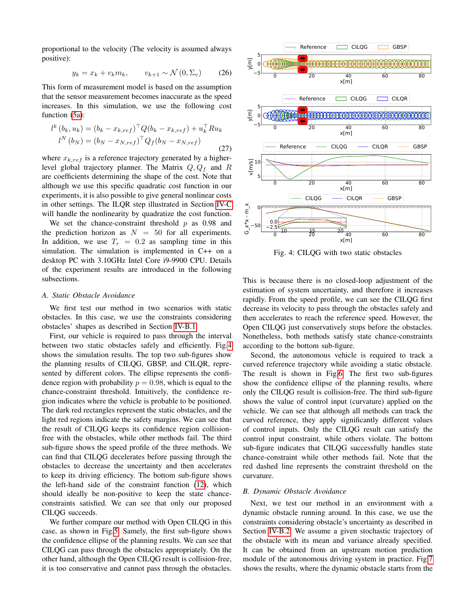proportional to the velocity (The velocity is assumed always positive):

$$
y_k = x_k + v_k m_k, \qquad v_{k+1} \sim \mathcal{N}(0, \Sigma_v) \tag{26}
$$

This form of measurement model is based on the assumption that the sensor measurement becomes inaccurate as the speed increases. In this simulation, we use the following cost function [\(5a\)](#page-1-7):

$$
l^{k} (b_{k}, u_{k}) = (b_{k} - x_{k, ref})^{\top} Q (b_{k} - x_{k, ref}) + u_{k}^{\top} R u_{k}
$$
  

$$
l^{N} (b_{N}) = (b_{N} - x_{N, ref})^{\top} Q_{f} (b_{N} - x_{N, ref})
$$
 (27)

where  $x_{k,ref}$  is a reference trajectory generated by a higherlevel global trajectory planner. The Matrix  $Q, Q_f$  and R are coefficients determining the shape of the cost. Note that although we use this specific quadratic cost function in our experiments, it is also possible to give general nonlinear costs in other settings. The ILQR step illustrated in Section [IV-C](#page-3-3) will handle the nonlinearity by quadratize the cost function.

We set the chance-constraint threshold  $p$  as 0.98 and the prediction horizon as  $N = 50$  for all experiments. In addition, we use  $T_r = 0.2$  as sampling time in this simulation. The simulation is implemented in C++ on a desktop PC with 3.10GHz Intel Core i9-9900 CPU. Details of the experiment results are introduced in the following subsections.

# *A. Static Obstacle Avoidance*

We first test our method in two scenarios with static obstacles. In this case, we use the constraints considering obstacles' shapes as described in Section [IV-B.1.](#page-3-4)

First, our vehicle is required to pass through the interval between two static obstacles safely and efficiently. Fig[.4](#page-5-0) shows the simulation results. The top two sub-figures show the planning results of CILQG, GBSP, and CILQR, represented by different colors. The ellipse represents the confidence region with probability  $p = 0.98$ , which is equal to the chance-constraint threshold. Intuitively, the confidence region indicates where the vehicle is probable to be positioned. The dark red rectangles represent the static obstacles, and the light red regions indicate the safety margins. We can see that the result of CILQG keeps its confidence region collisionfree with the obstacles, while other methods fail. The third sub-figure shows the speed profile of the three methods. We can find that CILQG decelerates before passing through the obstacles to decrease the uncertainty and then accelerates to keep its driving efficiency. The bottom sub-figure shows the left-hand side of the constraint function [\(12\)](#page-2-8), which should ideally be non-positive to keep the state chanceconstraints satisfied. We can see that only our proposed CILQG succeeds.

We further compare our method with Open CILQG in this case, as shown in Fig[.5.](#page-6-1) Samely, the first sub-figure shows the confidence ellipse of the planning results. We can see that CILQG can pass through the obstacles appropriately. On the other hand, although the Open CILQG result is collision-free, it is too conservative and cannot pass through the obstacles.

<span id="page-5-0"></span>

Fig. 4: CILQG with two static obstacles

This is because there is no closed-loop adjustment of the estimation of system uncertainty, and therefore it increases rapidly. From the speed profile, we can see the CILQG first decrease its velocity to pass through the obstacles safely and then accelerates to reach the reference speed. However, the Open CILQG just conservatively stops before the obstacles. Nonetheless, both methods satisfy state chance-constraints according to the bottom sub-figure.

Second, the autonomous vehicle is required to track a curved reference trajectory while avoiding a static obstacle. The result is shown in Fig[.6.](#page-6-2) The first two sub-figures show the confidence ellipse of the planning results, where only the CILQG result is collision-free. The third sub-figure shows the value of control input (curvature) applied on the vehicle. We can see that although all methods can track the curved reference, they apply significantly different values of control inputs. Only the CILQG result can satisfy the control input constraint, while others violate. The bottom sub-figure indicates that CILQG successfully handles state chance-constraint while other methods fail. Note that the red dashed line represents the constraint threshold on the curvature.

#### *B. Dynamic Obstacle Avoidance*

Next, we test our method in an environment with a dynamic obstacle running around. In this case, we use the constraints considering obstacle's uncertainty as described in Section [IV-B.2.](#page-3-5) We assume a given stochastic trajectory of the obstacle with its mean and variance already specified. It can be obtained from an upstream motion prediction module of the autonomous driving system in practice. Fig[.7](#page-7-0) shows the results, where the dynamic obstacle starts from the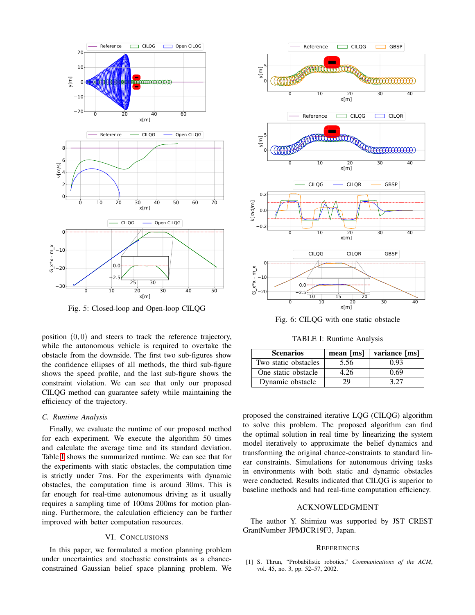<span id="page-6-1"></span>

Fig. 5: Closed-loop and Open-loop CILQG

position  $(0, 0)$  and steers to track the reference trajectory, while the autonomous vehicle is required to overtake the obstacle from the downside. The first two sub-figures show the confidence ellipses of all methods, the third sub-figure shows the speed profile, and the last sub-figure shows the constraint violation. We can see that only our proposed CILQG method can guarantee safety while maintaining the efficiency of the trajectory.

## *C. Runtime Analysis*

Finally, we evaluate the runtime of our proposed method for each experiment. We execute the algorithm 50 times and calculate the average time and its standard deviation. Table [I](#page-6-3) shows the summarized runtime. We can see that for the experiments with static obstacles, the computation time is strictly under 7ms. For the experiments with dynamic obstacles, the computation time is around 30ms. This is far enough for real-time autonomous driving as it usually requires a sampling time of 100ms 200ms for motion planning. Furthermore, the calculation efficiency can be further improved with better computation resources.

# VI. CONCLUSIONS

<span id="page-6-0"></span>In this paper, we formulated a motion planning problem under uncertainties and stochastic constraints as a chanceconstrained Gaussian belief space planning problem. We

<span id="page-6-2"></span>

Fig. 6: CILQG with one static obstacle

TABLE I: Runtime Analysis

<span id="page-6-3"></span>

| <b>Scenarios</b>     | mean [ms] | variance [ms] |
|----------------------|-----------|---------------|
| Two static obstacles | 5.56      | 0.93          |
| One static obstacle  | 4.26      | 0.69          |
| Dynamic obstacle     | 29        | 3.27          |

proposed the constrained iterative LQG (CILQG) algorithm to solve this problem. The proposed algorithm can find the optimal solution in real time by linearizing the system model iteratively to approximate the belief dynamics and transforming the original chance-constraints to standard linear constraints. Simulations for autonomous driving tasks in environments with both static and dynamic obstacles were conducted. Results indicated that CILQG is superior to baseline methods and had real-time computation efficiency.

# ACKNOWLEDGMENT

The author Y. Shimizu was supported by JST CREST GrantNumber JPMJCR19F3, Japan.

### **REFERENCES**

[1] S. Thrun, "Probabilistic robotics," *Communications of the ACM*, vol. 45, no. 3, pp. 52–57, 2002.